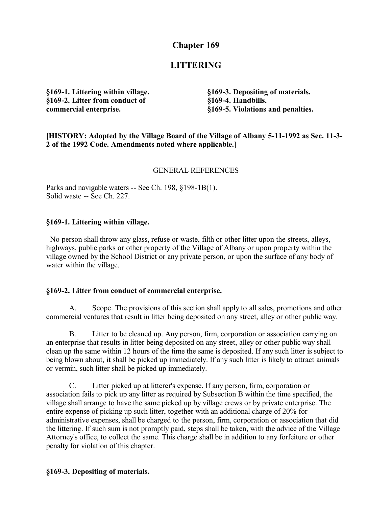## **Chapter 169**

# **LITTERING**

**§169-1. Littering within village. §169-2. Litter from conduct of commercial enterprise.**

**§169-3. Depositing of materials. §169-4. Handbills. §169-5. Violations and penalties.**

**[HISTORY: Adopted by the Village Board of the Village of Albany 5-11-1992 as Sec. 11-3- 2 of the 1992 Code. Amendments noted where applicable.]**

### GENERAL REFERENCES

Parks and navigable waters -- See Ch. 198, §198-1B(1). Solid waste -- See Ch. 227.

#### **§169-1. Littering within village.**

 No person shall throw any glass, refuse or waste, filth or other litter upon the streets, alleys, highways, public parks or other property of the Village of Albany or upon property within the village owned by the School District or any private person, or upon the surface of any body of water within the village.

#### **§169-2. Litter from conduct of commercial enterprise.**

A. Scope. The provisions of this section shall apply to all sales, promotions and other commercial ventures that result in litter being deposited on any street, alley or other public way.

B. Litter to be cleaned up. Any person, firm, corporation or association carrying on an enterprise that results in litter being deposited on any street, alley or other public way shall clean up the same within 12 hours of the time the same is deposited. If any such litter is subject to being blown about, it shall be picked up immediately. If any such litter is likely to attract animals or vermin, such litter shall be picked up immediately.

C. Litter picked up at litterer's expense. If any person, firm, corporation or association fails to pick up any litter as required by Subsection B within the time specified, the village shall arrange to have the same picked up by village crews or by private enterprise. The entire expense of picking up such litter, together with an additional charge of 20% for administrative expenses, shall be charged to the person, firm, corporation or association that did the littering. If such sum is not promptly paid, steps shall be taken, with the advice of the Village Attorney's office, to collect the same. This charge shall be in addition to any forfeiture or other penalty for violation of this chapter.

#### **§169-3. Depositing of materials.**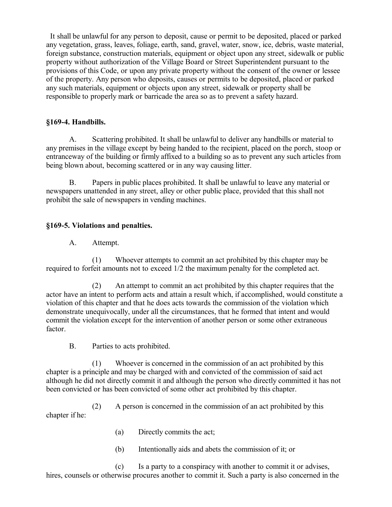It shall be unlawful for any person to deposit, cause or permit to be deposited, placed or parked any vegetation, grass, leaves, foliage, earth, sand, gravel, water, snow, ice, debris, waste material, foreign substance, construction materials, equipment or object upon any street, sidewalk or public property without authorization of the Village Board or Street Superintendent pursuant to the provisions of this Code, or upon any private property without the consent of the owner or lessee of the property. Any person who deposits, causes or permits to be deposited, placed or parked any such materials, equipment or objects upon any street, sidewalk or property shall be responsible to properly mark or barricade the area so as to prevent a safety hazard.

### **§169-4. Handbills.**

A. Scattering prohibited. It shall be unlawful to deliver any handbills or material to any premises in the village except by being handed to the recipient, placed on the porch, stoop or entranceway of the building or firmly affixed to a building so as to prevent any such articles from being blown about, becoming scattered or in any way causing litter.

B. Papers in public places prohibited. It shall be unlawful to leave any material or newspapers unattended in any street, alley or other public place, provided that this shall not prohibit the sale of newspapers in vending machines.

## **§169-5. Violations and penalties.**

A. Attempt.

(1) Whoever attempts to commit an act prohibited by this chapter may be required to forfeit amounts not to exceed 1/2 the maximum penalty for the completed act.

(2) An attempt to commit an act prohibited by this chapter requires that the actor have an intent to perform acts and attain a result which, if accomplished, would constitute a violation of this chapter and that he does acts towards the commission of the violation which demonstrate unequivocally, under all the circumstances, that he formed that intent and would commit the violation except for the intervention of another person or some other extraneous factor.

B. Parties to acts prohibited.

(1) Whoever is concerned in the commission of an act prohibited by this chapter is a principle and may be charged with and convicted of the commission of said act although he did not directly commit it and although the person who directly committed it has not been convicted or has been convicted of some other act prohibited by this chapter.

(2) A person is concerned in the commission of an act prohibited by this chapter if he:

- (a) Directly commits the act;
- (b) Intentionally aids and abets the commission of it; or

(c) Is a party to a conspiracy with another to commit it or advises, hires, counsels or otherwise procures another to commit it. Such a party is also concerned in the